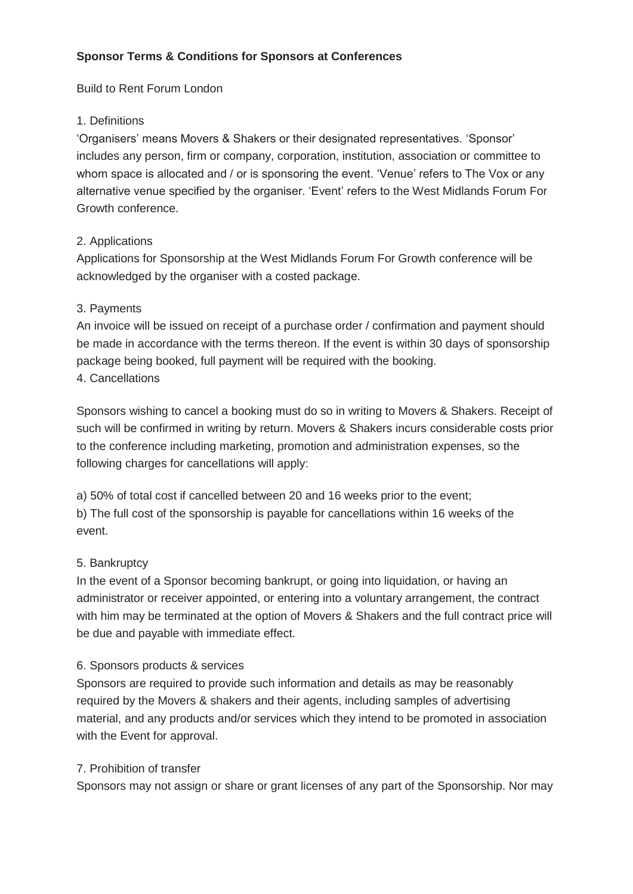## **Sponsor Terms & Conditions for Sponsors at Conferences**

Build to Rent Forum London

## 1. Definitions

'Organisers' means Movers & Shakers or their designated representatives. 'Sponsor' includes any person, firm or company, corporation, institution, association or committee to whom space is allocated and / or is sponsoring the event. 'Venue' refers to The Vox or any alternative venue specified by the organiser. 'Event' refers to the West Midlands Forum For Growth conference.

## 2. Applications

Applications for Sponsorship at the West Midlands Forum For Growth conference will be acknowledged by the organiser with a costed package.

## 3. Payments

An invoice will be issued on receipt of a purchase order / confirmation and payment should be made in accordance with the terms thereon. If the event is within 30 days of sponsorship package being booked, full payment will be required with the booking.

## 4. Cancellations

Sponsors wishing to cancel a booking must do so in writing to Movers & Shakers. Receipt of such will be confirmed in writing by return. Movers & Shakers incurs considerable costs prior to the conference including marketing, promotion and administration expenses, so the following charges for cancellations will apply:

a) 50% of total cost if cancelled between 20 and 16 weeks prior to the event; b) The full cost of the sponsorship is payable for cancellations within 16 weeks of the event.

## 5. Bankruptcy

In the event of a Sponsor becoming bankrupt, or going into liquidation, or having an administrator or receiver appointed, or entering into a voluntary arrangement, the contract with him may be terminated at the option of Movers & Shakers and the full contract price will be due and payable with immediate effect.

#### 6. Sponsors products & services

Sponsors are required to provide such information and details as may be reasonably required by the Movers & shakers and their agents, including samples of advertising material, and any products and/or services which they intend to be promoted in association with the Event for approval.

#### 7. Prohibition of transfer

Sponsors may not assign or share or grant licenses of any part of the Sponsorship. Nor may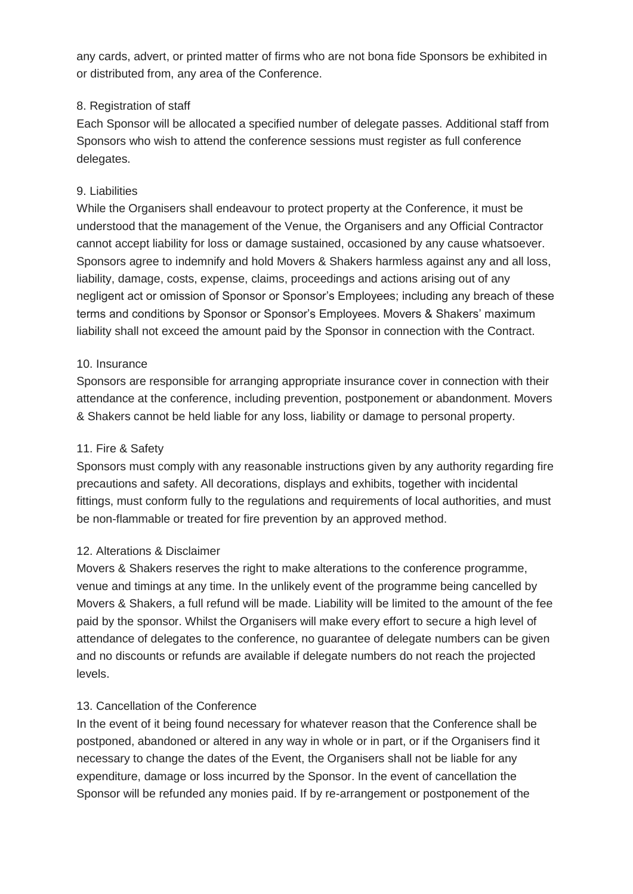any cards, advert, or printed matter of firms who are not bona fide Sponsors be exhibited in or distributed from, any area of the Conference.

## 8. Registration of staff

Each Sponsor will be allocated a specified number of delegate passes. Additional staff from Sponsors who wish to attend the conference sessions must register as full conference delegates.

## 9. Liabilities

While the Organisers shall endeavour to protect property at the Conference, it must be understood that the management of the Venue, the Organisers and any Official Contractor cannot accept liability for loss or damage sustained, occasioned by any cause whatsoever. Sponsors agree to indemnify and hold Movers & Shakers harmless against any and all loss, liability, damage, costs, expense, claims, proceedings and actions arising out of any negligent act or omission of Sponsor or Sponsor's Employees; including any breach of these terms and conditions by Sponsor or Sponsor's Employees. Movers & Shakers' maximum liability shall not exceed the amount paid by the Sponsor in connection with the Contract.

## 10. Insurance

Sponsors are responsible for arranging appropriate insurance cover in connection with their attendance at the conference, including prevention, postponement or abandonment. Movers & Shakers cannot be held liable for any loss, liability or damage to personal property.

## 11. Fire & Safety

Sponsors must comply with any reasonable instructions given by any authority regarding fire precautions and safety. All decorations, displays and exhibits, together with incidental fittings, must conform fully to the regulations and requirements of local authorities, and must be non-flammable or treated for fire prevention by an approved method.

## 12. Alterations & Disclaimer

Movers & Shakers reserves the right to make alterations to the conference programme, venue and timings at any time. In the unlikely event of the programme being cancelled by Movers & Shakers, a full refund will be made. Liability will be limited to the amount of the fee paid by the sponsor. Whilst the Organisers will make every effort to secure a high level of attendance of delegates to the conference, no guarantee of delegate numbers can be given and no discounts or refunds are available if delegate numbers do not reach the projected levels.

## 13. Cancellation of the Conference

In the event of it being found necessary for whatever reason that the Conference shall be postponed, abandoned or altered in any way in whole or in part, or if the Organisers find it necessary to change the dates of the Event, the Organisers shall not be liable for any expenditure, damage or loss incurred by the Sponsor. In the event of cancellation the Sponsor will be refunded any monies paid. If by re-arrangement or postponement of the